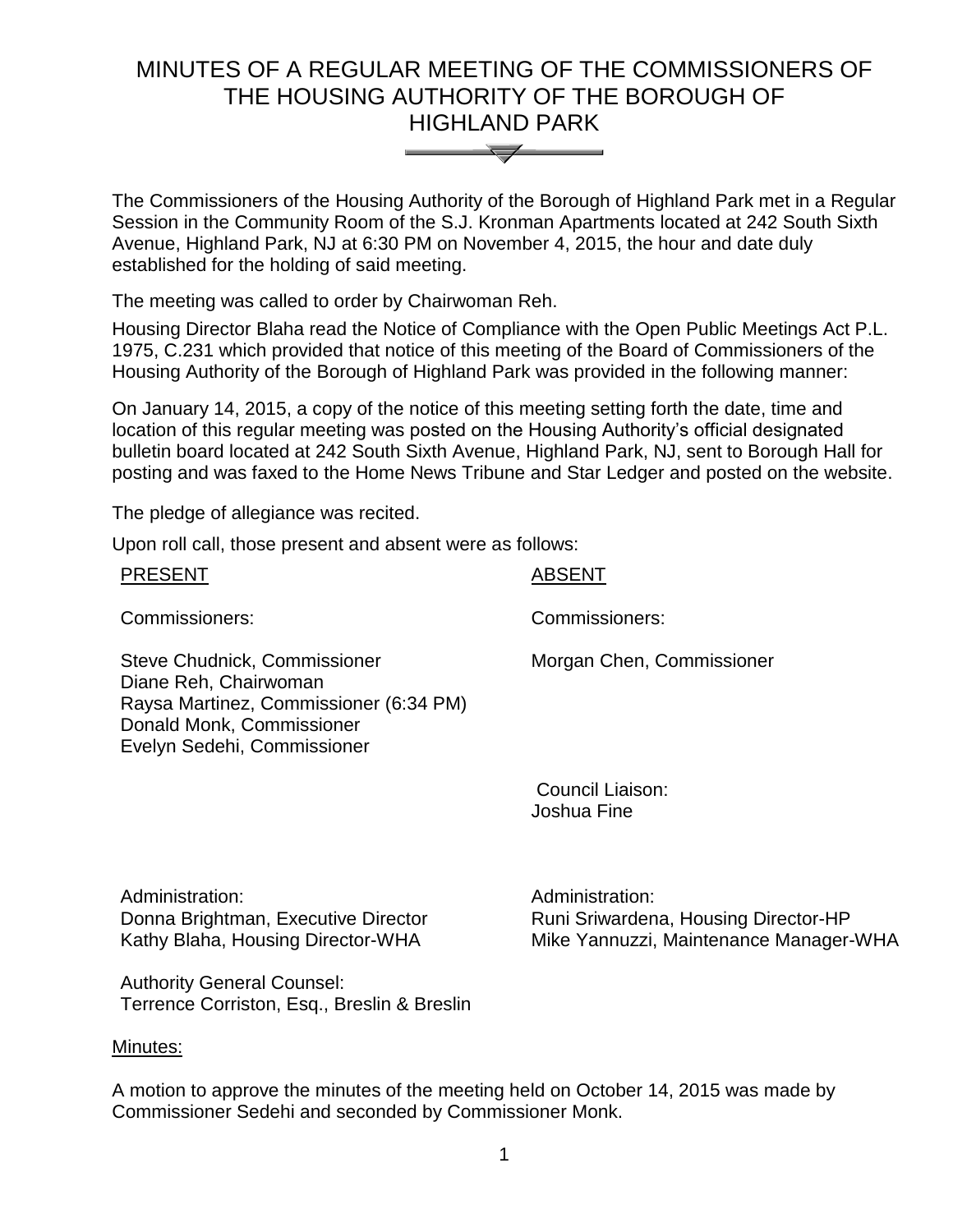# MINUTES OF A REGULAR MEETING OF THE COMMISSIONERS OF THE HOUSING AUTHORITY OF THE BOROUGH OF HIGHLAND PARK



The Commissioners of the Housing Authority of the Borough of Highland Park met in a Regular Session in the Community Room of the S.J. Kronman Apartments located at 242 South Sixth Avenue, Highland Park, NJ at 6:30 PM on November 4, 2015, the hour and date duly established for the holding of said meeting.

The meeting was called to order by Chairwoman Reh.

Housing Director Blaha read the Notice of Compliance with the Open Public Meetings Act P.L. 1975, C.231 which provided that notice of this meeting of the Board of Commissioners of the Housing Authority of the Borough of Highland Park was provided in the following manner:

On January 14, 2015, a copy of the notice of this meeting setting forth the date, time and location of this regular meeting was posted on the Housing Authority's official designated bulletin board located at 242 South Sixth Avenue, Highland Park, NJ, sent to Borough Hall for posting and was faxed to the Home News Tribune and Star Ledger and posted on the website.

The pledge of allegiance was recited.

Upon roll call, those present and absent were as follows:

| <b>PRESENT</b>                                                                                                                                              | <b>ABSENT</b>                   |
|-------------------------------------------------------------------------------------------------------------------------------------------------------------|---------------------------------|
| Commissioners:                                                                                                                                              | Commissioners:                  |
| Steve Chudnick, Commissioner<br>Diane Reh, Chairwoman<br>Raysa Martinez, Commissioner (6:34 PM)<br>Donald Monk, Commissioner<br>Evelyn Sedehi, Commissioner | Morgan Chen, Commissioner       |
|                                                                                                                                                             | Council Liaison:<br>Joshua Fine |

Administration: Donna Brightman, Executive Director Kathy Blaha, Housing Director-WHA

Runi Sriwardena, Housing Director-HP Mike Yannuzzi, Maintenance Manager-WHA

Administration:

Authority General Counsel: Terrence Corriston, Esq., Breslin & Breslin

# Minutes:

A motion to approve the minutes of the meeting held on October 14, 2015 was made by Commissioner Sedehi and seconded by Commissioner Monk.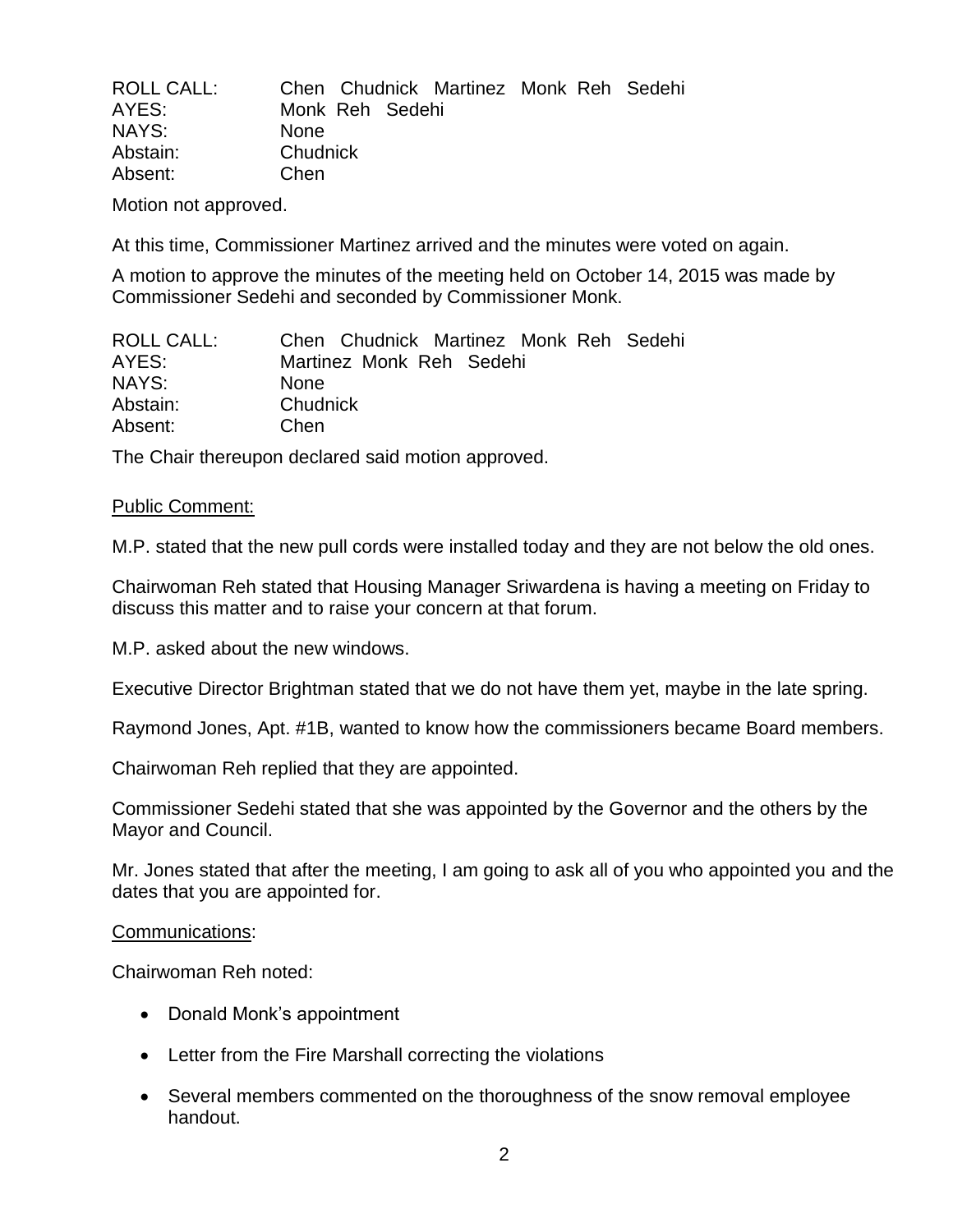| <b>ROLL CALL:</b> | Chen Chudnick Martinez Monk Reh Sedehi |  |
|-------------------|----------------------------------------|--|
| AYES:             | Monk Reh Sedehi                        |  |
| NAYS:             | <b>None</b>                            |  |
| Abstain:          | Chudnick                               |  |
| Absent:           | Chen                                   |  |

Motion not approved.

At this time, Commissioner Martinez arrived and the minutes were voted on again.

A motion to approve the minutes of the meeting held on October 14, 2015 was made by Commissioner Sedehi and seconded by Commissioner Monk.

| ROLL CALL: | Chen Chudnick Martinez Monk Reh Sedehi |
|------------|----------------------------------------|
| AYES:      | Martinez Monk Reh Sedehi               |
| NAYS:      | <b>None</b>                            |
| Abstain:   | Chudnick                               |
| Absent:    | Chen                                   |

The Chair thereupon declared said motion approved.

## Public Comment:

M.P. stated that the new pull cords were installed today and they are not below the old ones.

Chairwoman Reh stated that Housing Manager Sriwardena is having a meeting on Friday to discuss this matter and to raise your concern at that forum.

M.P. asked about the new windows.

Executive Director Brightman stated that we do not have them yet, maybe in the late spring.

Raymond Jones, Apt. #1B, wanted to know how the commissioners became Board members.

Chairwoman Reh replied that they are appointed.

Commissioner Sedehi stated that she was appointed by the Governor and the others by the Mayor and Council.

Mr. Jones stated that after the meeting, I am going to ask all of you who appointed you and the dates that you are appointed for.

## Communications:

Chairwoman Reh noted:

- Donald Monk's appointment
- Letter from the Fire Marshall correcting the violations
- Several members commented on the thoroughness of the snow removal employee handout.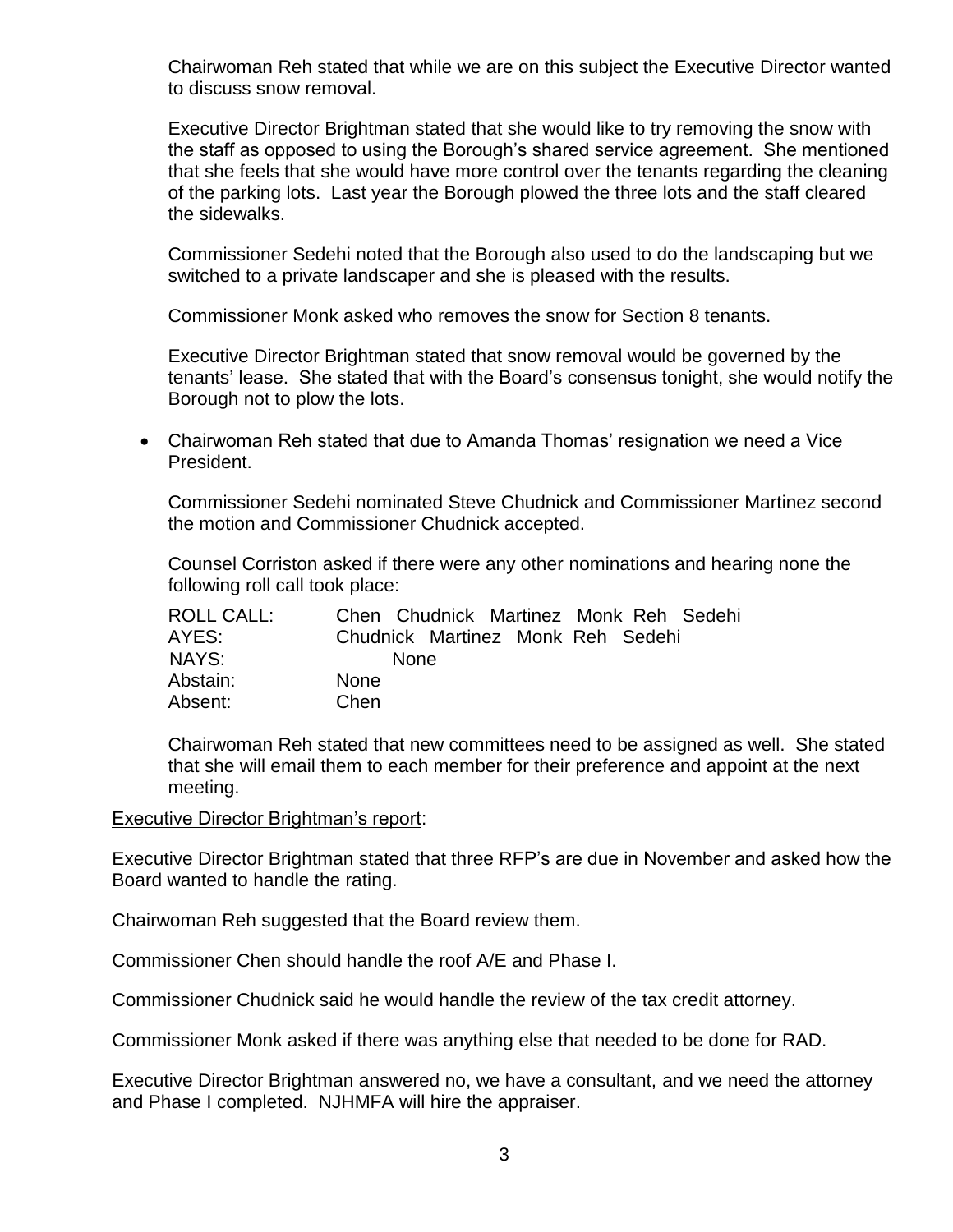Chairwoman Reh stated that while we are on this subject the Executive Director wanted to discuss snow removal.

Executive Director Brightman stated that she would like to try removing the snow with the staff as opposed to using the Borough's shared service agreement. She mentioned that she feels that she would have more control over the tenants regarding the cleaning of the parking lots. Last year the Borough plowed the three lots and the staff cleared the sidewalks.

Commissioner Sedehi noted that the Borough also used to do the landscaping but we switched to a private landscaper and she is pleased with the results.

Commissioner Monk asked who removes the snow for Section 8 tenants.

Executive Director Brightman stated that snow removal would be governed by the tenants' lease. She stated that with the Board's consensus tonight, she would notify the Borough not to plow the lots.

 Chairwoman Reh stated that due to Amanda Thomas' resignation we need a Vice President.

Commissioner Sedehi nominated Steve Chudnick and Commissioner Martinez second the motion and Commissioner Chudnick accepted.

Counsel Corriston asked if there were any other nominations and hearing none the following roll call took place:

| ROLL CALL: | Chen Chudnick Martinez Monk Reh Sedehi |
|------------|----------------------------------------|
| AYES:      | Chudnick Martinez Monk Reh Sedehi      |
| NAYS:      | <b>None</b>                            |
| Abstain:   | <b>None</b>                            |
| Absent:    | Chen                                   |

Chairwoman Reh stated that new committees need to be assigned as well. She stated that she will email them to each member for their preference and appoint at the next meeting.

# Executive Director Brightman's report:

Executive Director Brightman stated that three RFP's are due in November and asked how the Board wanted to handle the rating.

Chairwoman Reh suggested that the Board review them.

Commissioner Chen should handle the roof A/E and Phase I.

Commissioner Chudnick said he would handle the review of the tax credit attorney.

Commissioner Monk asked if there was anything else that needed to be done for RAD.

Executive Director Brightman answered no, we have a consultant, and we need the attorney and Phase I completed. NJHMFA will hire the appraiser.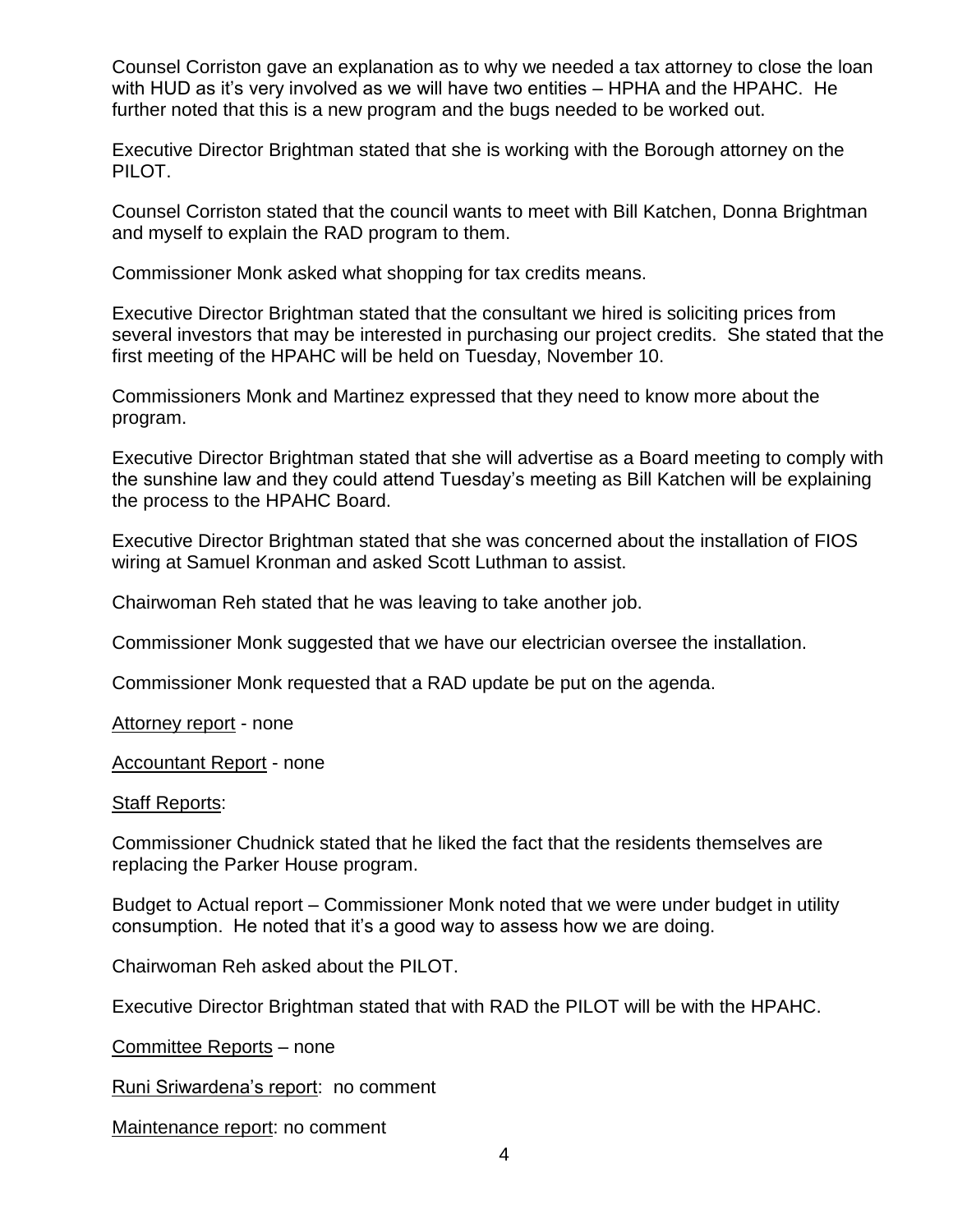Counsel Corriston gave an explanation as to why we needed a tax attorney to close the loan with HUD as it's very involved as we will have two entities – HPHA and the HPAHC. He further noted that this is a new program and the bugs needed to be worked out.

Executive Director Brightman stated that she is working with the Borough attorney on the PILOT.

Counsel Corriston stated that the council wants to meet with Bill Katchen, Donna Brightman and myself to explain the RAD program to them.

Commissioner Monk asked what shopping for tax credits means.

Executive Director Brightman stated that the consultant we hired is soliciting prices from several investors that may be interested in purchasing our project credits. She stated that the first meeting of the HPAHC will be held on Tuesday, November 10.

Commissioners Monk and Martinez expressed that they need to know more about the program.

Executive Director Brightman stated that she will advertise as a Board meeting to comply with the sunshine law and they could attend Tuesday's meeting as Bill Katchen will be explaining the process to the HPAHC Board.

Executive Director Brightman stated that she was concerned about the installation of FIOS wiring at Samuel Kronman and asked Scott Luthman to assist.

Chairwoman Reh stated that he was leaving to take another job.

Commissioner Monk suggested that we have our electrician oversee the installation.

Commissioner Monk requested that a RAD update be put on the agenda.

Attorney report - none

Accountant Report - none

## Staff Reports:

Commissioner Chudnick stated that he liked the fact that the residents themselves are replacing the Parker House program.

Budget to Actual report – Commissioner Monk noted that we were under budget in utility consumption. He noted that it's a good way to assess how we are doing.

Chairwoman Reh asked about the PILOT.

Executive Director Brightman stated that with RAD the PILOT will be with the HPAHC.

Committee Reports – none

Runi Sriwardena's report: no comment

Maintenance report: no comment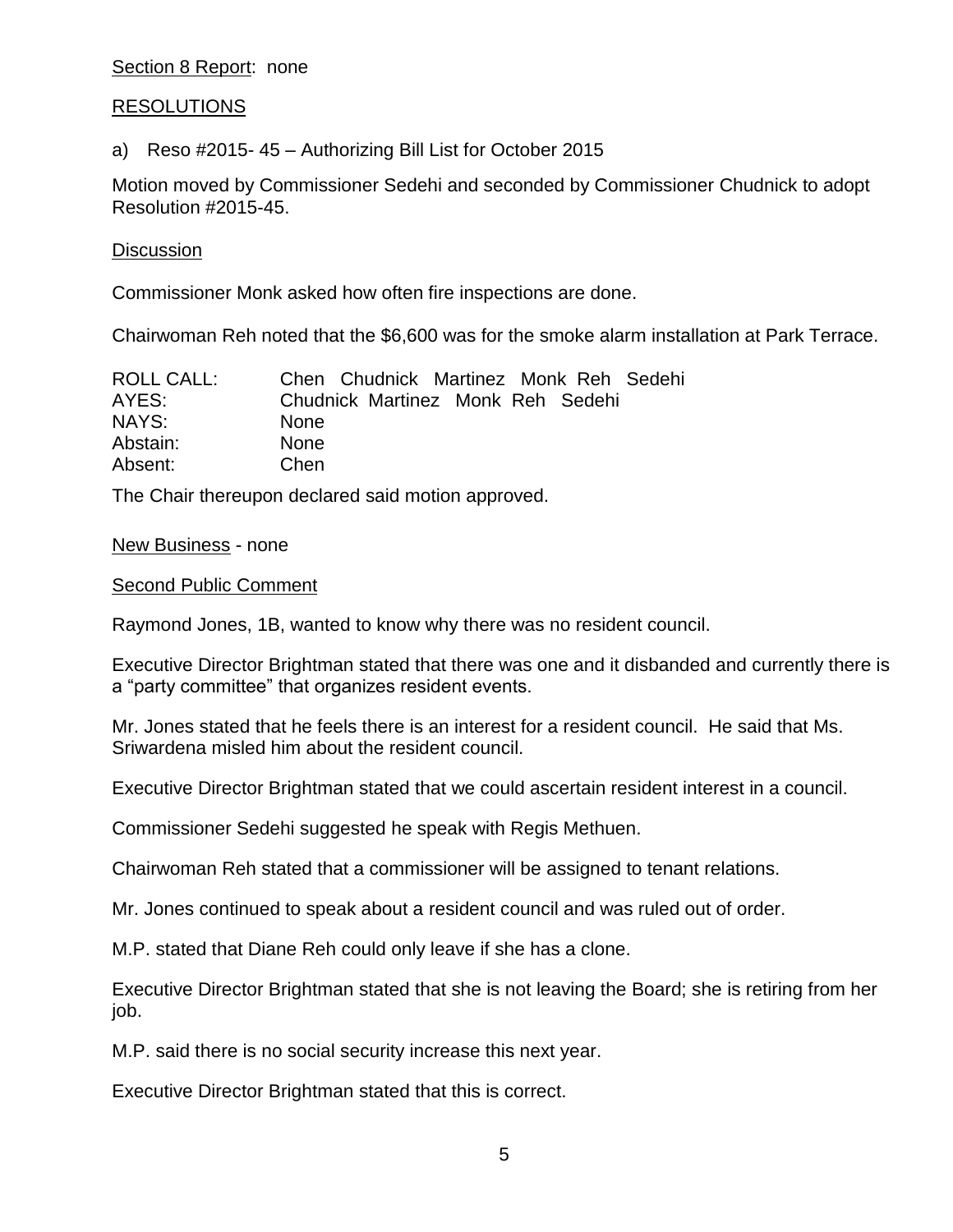# Section 8 Report: none

# RESOLUTIONS

a) Reso #2015- 45 – Authorizing Bill List for October 2015

Motion moved by Commissioner Sedehi and seconded by Commissioner Chudnick to adopt Resolution #2015-45.

# **Discussion**

Commissioner Monk asked how often fire inspections are done.

Chairwoman Reh noted that the \$6,600 was for the smoke alarm installation at Park Terrace.

| ROLL CALL: | Chen Chudnick Martinez Monk Reh Sedehi |
|------------|----------------------------------------|
| AYES:      | Chudnick Martinez Monk Reh Sedehi      |
| NAYS:      | <b>None</b>                            |
| Abstain:   | <b>None</b>                            |
| Absent:    | Chen                                   |

The Chair thereupon declared said motion approved.

## New Business - none

## Second Public Comment

Raymond Jones, 1B, wanted to know why there was no resident council.

Executive Director Brightman stated that there was one and it disbanded and currently there is a "party committee" that organizes resident events.

Mr. Jones stated that he feels there is an interest for a resident council. He said that Ms. Sriwardena misled him about the resident council.

Executive Director Brightman stated that we could ascertain resident interest in a council.

Commissioner Sedehi suggested he speak with Regis Methuen.

Chairwoman Reh stated that a commissioner will be assigned to tenant relations.

Mr. Jones continued to speak about a resident council and was ruled out of order.

M.P. stated that Diane Reh could only leave if she has a clone.

Executive Director Brightman stated that she is not leaving the Board; she is retiring from her job.

M.P. said there is no social security increase this next year.

Executive Director Brightman stated that this is correct.